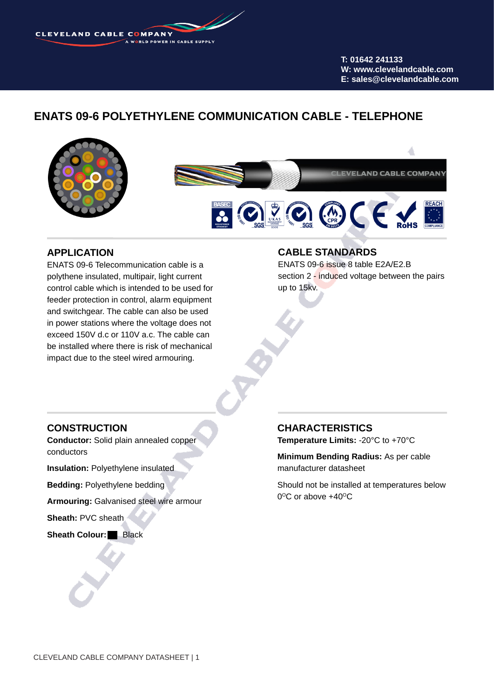**CLEVELAND CABLE COMPANY** 

**T: 01642 241133 W: www.clevelandcable.com E: sales@clevelandcable.com**

# **ENATS 09-6 POLYETHYLENE COMMUNICATION CABLE - TELEPHONE**



### **APPLICATION**

ENATS 09-6 Telecommunication cable is a polythene insulated, multipair, light current control cable which is intended to be used for feeder protection in control, alarm equipment and switchgear. The cable can also be used in power stations where the voltage does not exceed 150V d.c or 110V a.c. The cable can be installed where there is risk of mechanical impact due to the steel wired armouring.

#### **CABLE STANDARDS**

ENATS 09-6 issue 8 table E2A/E2.B section 2 - induced voltage between the pairs up to 15kv.

#### **CONSTRUCTION**

**Conductor:** Solid plain annealed copper conductors

**Insulation: Polyethylene insulated** 

**Bedding:** Polyethylene bedding

**Armouring:** Galvanised steel wire armour

**Sheath:** PVC sheath

**Sheath Colour:** Black

### **CHARACTERISTICS**

**Temperature Limits:** -20°C to +70°C

**Minimum Bending Radius:** As per cable manufacturer datasheet

Should not be installed at temperatures below  $0^{\circ}$ C or above +40 $^{\circ}$ C